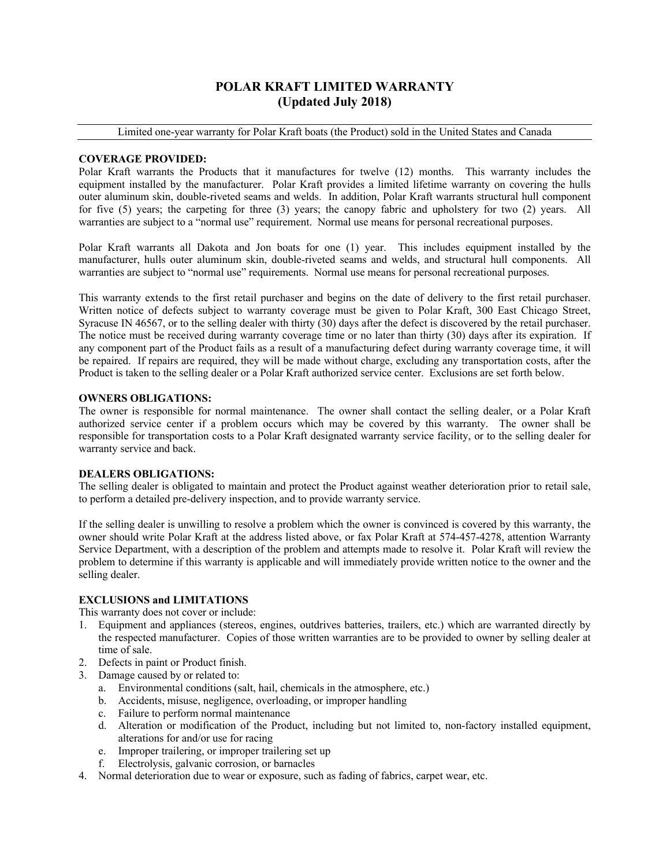## **POLAR KRAFT LIMITED WARRANTY (Updated July 2018)**

Limited one-year warranty for Polar Kraft boats (the Product) sold in the United States and Canada

#### **COVERAGE PROVIDED:**

Polar Kraft warrants the Products that it manufactures for twelve (12) months. This warranty includes the equipment installed by the manufacturer. Polar Kraft provides a limited lifetime warranty on covering the hulls outer aluminum skin, double-riveted seams and welds. In addition, Polar Kraft warrants structural hull component for five (5) years; the carpeting for three (3) years; the canopy fabric and upholstery for two (2) years. All warranties are subject to a "normal use" requirement. Normal use means for personal recreational purposes.

Polar Kraft warrants all Dakota and Jon boats for one (1) year. This includes equipment installed by the manufacturer, hulls outer aluminum skin, double-riveted seams and welds, and structural hull components. All warranties are subject to "normal use" requirements. Normal use means for personal recreational purposes.

This warranty extends to the first retail purchaser and begins on the date of delivery to the first retail purchaser. Written notice of defects subject to warranty coverage must be given to Polar Kraft, 300 East Chicago Street, Syracuse IN 46567, or to the selling dealer with thirty (30) days after the defect is discovered by the retail purchaser. The notice must be received during warranty coverage time or no later than thirty (30) days after its expiration. If any component part of the Product fails as a result of a manufacturing defect during warranty coverage time, it will be repaired. If repairs are required, they will be made without charge, excluding any transportation costs, after the Product is taken to the selling dealer or a Polar Kraft authorized service center. Exclusions are set forth below.

#### **OWNERS OBLIGATIONS:**

The owner is responsible for normal maintenance. The owner shall contact the selling dealer, or a Polar Kraft authorized service center if a problem occurs which may be covered by this warranty. The owner shall be responsible for transportation costs to a Polar Kraft designated warranty service facility, or to the selling dealer for warranty service and back.

#### **DEALERS OBLIGATIONS:**

The selling dealer is obligated to maintain and protect the Product against weather deterioration prior to retail sale, to perform a detailed pre-delivery inspection, and to provide warranty service.

If the selling dealer is unwilling to resolve a problem which the owner is convinced is covered by this warranty, the owner should write Polar Kraft at the address listed above, or fax Polar Kraft at 574-457-4278, attention Warranty Service Department, with a description of the problem and attempts made to resolve it. Polar Kraft will review the problem to determine if this warranty is applicable and will immediately provide written notice to the owner and the selling dealer.

## **EXCLUSIONS and LIMITATIONS**

This warranty does not cover or include:

- 1. Equipment and appliances (stereos, engines, outdrives batteries, trailers, etc.) which are warranted directly by the respected manufacturer. Copies of those written warranties are to be provided to owner by selling dealer at time of sale.
- 2. Defects in paint or Product finish.
- 3. Damage caused by or related to:
	- a. Environmental conditions (salt, hail, chemicals in the atmosphere, etc.)
	- b. Accidents, misuse, negligence, overloading, or improper handling
	- c. Failure to perform normal maintenance
	- d. Alteration or modification of the Product, including but not limited to, non-factory installed equipment, alterations for and/or use for racing
	- e. Improper trailering, or improper trailering set up
	- f. Electrolysis, galvanic corrosion, or barnacles
- 4. Normal deterioration due to wear or exposure, such as fading of fabrics, carpet wear, etc.